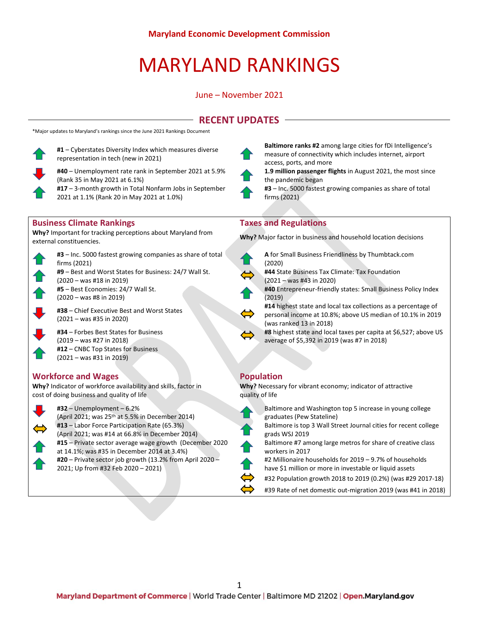# MARYLAND RANKINGS

### June – November 2021

# **RECENT UPDATES**

\*Major updates to Maryland's rankings since the June 2021 Rankings Document



**#1** – Cyberstates Diversity Index which measures diverse representation in tech (new in 2021)



**#40** – Unemployment rate rank in September 2021 at 5.9% (Rank 35 in May 2021 at 6.1%) **#17** – 3-month growth in Total Nonfarm Jobs in September

2021 at 1.1% (Rank 20 in May 2021 at 1.0%)

### **Business Climate Rankings Taxes and Regulations**

**Why?** Important for tracking perceptions about Maryland from **Why?** Important for tracking perceptions about Maryland from **Why?** Major factor in business and household location decisions external constituencies.



**#9** – Best and Worst States for Business: 24/7 Wall St. (2020 – was #18 in 2019)

**#5** – Best Economies: 24/7 Wall St. (2020 – was #8 in 2019)

**#38** – Chief Executive Best and Worst States (2021 – was #35 in 2020)

**#34** – Forbes Best States for Business (2019 – was #27 in 2018) **#12** – CNBC Top States for Business (2021 – was #31 in 2019)

## **Workforce and Wages Population**

**Why?** Indicator of workforce availability and skills, factor in cost of doing business and quality of life



**#32** – Unemployment – 6.2% (April 2021; was 25th at 5.5% in December 2014) **#13** – Labor Force Participation Rate (65.3%) (April 2021; was #14 at 66.8% in December 2014) **#15** – Private sector average wage growth (December 2020 at 14.1%; was #35 in December 2014 at 3.4%) **#20** – Private sector job growth (13.2% from April 2020 – 2021; Up from #32 Feb 2020 – 2021)



**Baltimore ranks #2** among large cities for fDi Intelligence's measure of connectivity which includes internet, airport access, ports, and more

**1.9 million passenger flights** in August 2021, the most since the pandemic began

**#3** – Inc. 5000 fastest growing companies as share of total firms (2021)



**A** for Small Business Friendliness by Thumbtack.com (2020)

**#44** State Business Tax Climate: Tax Foundation (2021 – was #43 in 2020)

**#40** Entrepreneur-friendly states: Small Business Policy Index (2019)

- **#14** highest state and local tax collections as a percentage of personal income at 10.8%; above US median of 10.1% in 2019 (was ranked 13 in 2018)
- **#8** highest state and local taxes per capita at \$6,527; above US average of \$5,392 in 2019 (was #7 in 2018)

**Why?** Necessary for vibrant economy; indicator of attractive quality of life

Baltimore and Washington top 5 increase in young college graduates (Pew Stateline) Baltimore is top 3 Wall Street Journal cities for recent college grads WSJ 2019 Baltimore #7 among large metros for share of creative class workers in 2017 #2 Millionaire households for 2019 – 9.7% of households have \$1 million or more in investable or liquid assets #32 Population growth 2018 to 2019 (0.2%) (was #29 2017-18) #39 Rate of net domestic out-migration 2019 (was #41 in 2018)